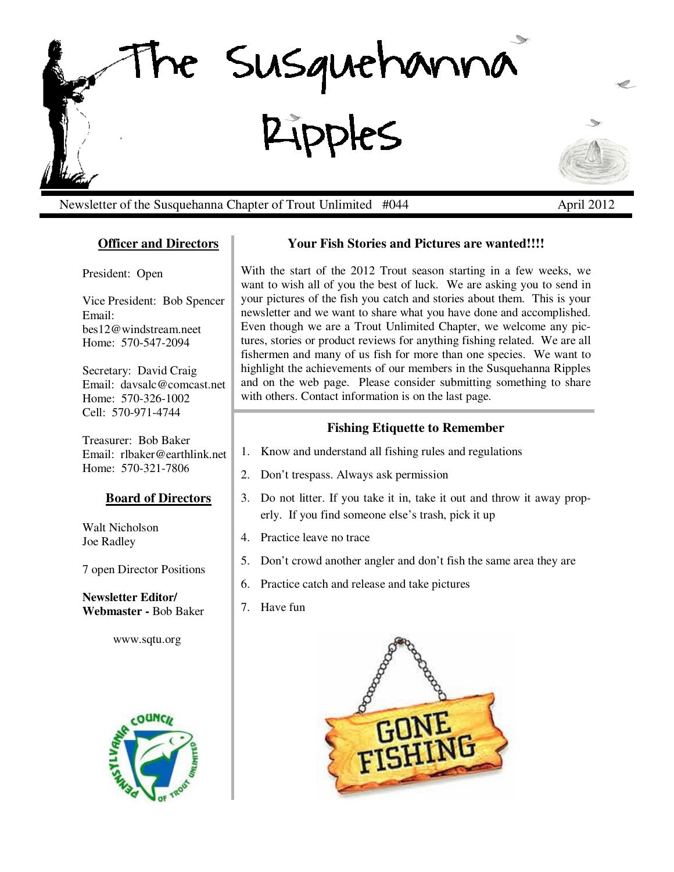

Newsletter of the Susquehanna Chapter of Trout Unlimited #044 April 2012

## **Officer and Directors**

President: Open

Vice President: Bob Spencer Email: bes12@windstream.neet Home: 570-547-2094

Secretary: David Craig Email: davsalc@comcast.net Home: 570-326-1002 Cell: 570-971-4744

Treasurer: Bob Baker Email: rlbaker@earthlink.net Home: 570-321-7806

### **Board of Directors**

Walt Nicholson Joe Radley

7 open Director Positions

**Newsletter Editor/ Webmaster -** Bob Baker

www.sqtu.org



## **Your Fish Stories and Pictures are wanted!!!!**

With the start of the 2012 Trout season starting in a few weeks, we want to wish all of you the best of luck. We are asking you to send in your pictures of the fish you catch and stories about them. This is your newsletter and we want to share what you have done and accomplished. Even though we are a Trout Unlimited Chapter, we welcome any pictures, stories or product reviews for anything fishing related. We are all fishermen and many of us fish for more than one species. We want to highlight the achievements of our members in the Susquehanna Ripples and on the web page. Please consider submitting something to share with others. Contact information is on the last page.

## **Fishing Etiquette to Remember**

- 1. Know and understand all fishing rules and regulations
- 2. Don't trespass. Always ask permission
- 3. Do not litter. If you take it in, take it out and throw it away properly. If you find someone else's trash, pick it up
- 4. Practice leave no trace
- 5. Don't crowd another angler and don't fish the same area they are
- 6. Practice catch and release and take pictures
- 7. Have fun

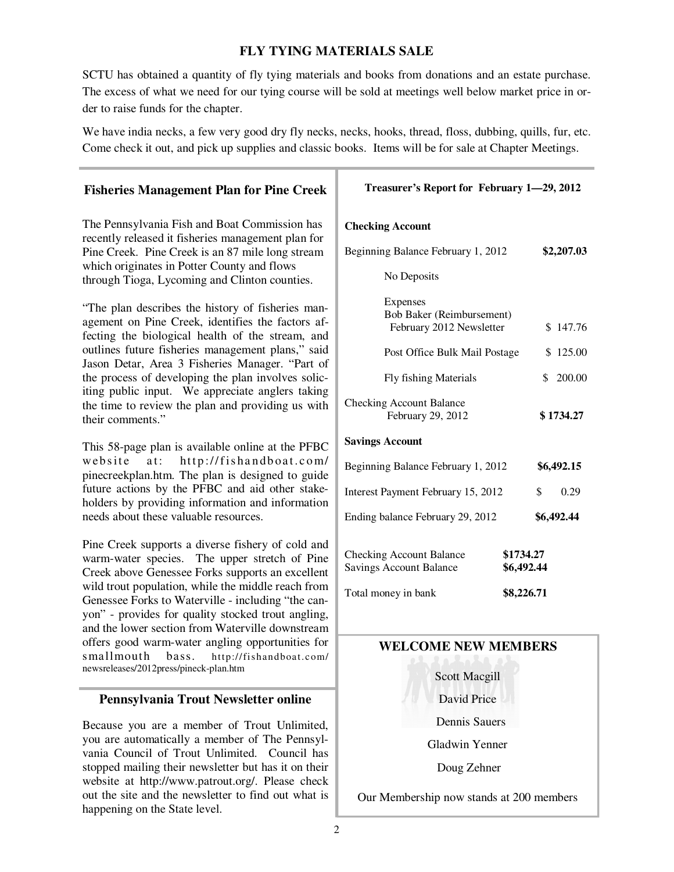## **FLY TYING MATERIALS SALE**

SCTU has obtained a quantity of fly tying materials and books from donations and an estate purchase. The excess of what we need for our tying course will be sold at meetings well below market price in order to raise funds for the chapter.

We have india necks, a few very good dry fly necks, necks, hooks, thread, floss, dubbing, quills, fur, etc. Come check it out, and pick up supplies and classic books. Items will be for sale at Chapter Meetings.

### **Treasurer's Report for February 1—29, 2012 Checking Account**  Beginning Balance February 1, 2012 **\$2,207.03**  No Deposits Expenses Bob Baker (Reimbursement) February 2012 Newsletter \$ 147.76 Post Office Bulk Mail Postage \$ 125.00 Fly fishing Materials \$ 200.00 Checking Account Balance February 29, 2012 **\$ 1734.27 Savings Account**  Beginning Balance February 1, 2012 **\$6,492.15** Interest Payment February 15, 2012 \$ 0.29 Ending balance February 29, 2012 **\$6,492.44** Checking Account Balance **\$1734.27** Savings Account Balance **\$6,492.44** Total money in bank **\$8,226.71 WELCOME NEW MEMBERS**  Scott Macgill David Price **Fisheries Management Plan for Pine Creek** The Pennsylvania Fish and Boat Commission has recently released it fisheries management plan for Pine Creek. Pine Creek is an 87 mile long stream which originates in Potter County and flows through Tioga, Lycoming and Clinton counties. "The plan describes the history of fisheries management on Pine Creek, identifies the factors affecting the biological health of the stream, and outlines future fisheries management plans," said Jason Detar, Area 3 Fisheries Manager. "Part of the process of developing the plan involves soliciting public input. We appreciate anglers taking the time to review the plan and providing us with their comments." This 58-page plan is available online at the PFBC website at: http://fishandboat.com/ pinecreekplan.htm. The plan is designed to guide future actions by the PFBC and aid other stakeholders by providing information and information needs about these valuable resources. Pine Creek supports a diverse fishery of cold and warm-water species. The upper stretch of Pine Creek above Genessee Forks supports an excellent wild trout population, while the middle reach from Genessee Forks to Waterville - including "the canyon" - provides for quality stocked trout angling, and the lower section from Waterville downstream offers good warm-water angling opportunities for smallmouth bass. http://fishandboat.com/ newsreleases/2012press/pineck-plan.htm **Pennsylvania Trout Newsletter online**

Because you are a member of Trout Unlimited, you are automatically a member of The Pennsylvania Council of Trout Unlimited. Council has stopped mailing their newsletter but has it on their website at http://www.patrout.org/. Please check out the site and the newsletter to find out what is happening on the State level.

Dennis Sauers

Gladwin Yenner

Doug Zehner

Our Membership now stands at 200 members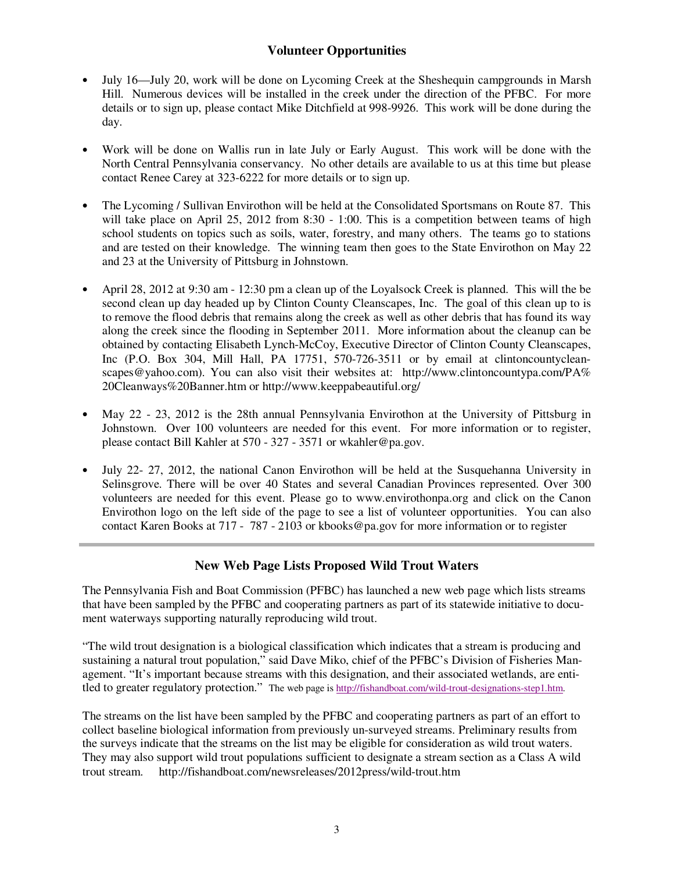### **Volunteer Opportunities**

- July 16—July 20, work will be done on Lycoming Creek at the Sheshequin campgrounds in Marsh Hill. Numerous devices will be installed in the creek under the direction of the PFBC. For more details or to sign up, please contact Mike Ditchfield at 998-9926. This work will be done during the day.
- Work will be done on Wallis run in late July or Early August. This work will be done with the North Central Pennsylvania conservancy. No other details are available to us at this time but please contact Renee Carey at 323-6222 for more details or to sign up.
- The Lycoming / Sullivan Envirothon will be held at the Consolidated Sportsmans on Route 87. This will take place on April 25, 2012 from 8:30 - 1:00. This is a competition between teams of high school students on topics such as soils, water, forestry, and many others. The teams go to stations and are tested on their knowledge. The winning team then goes to the State Envirothon on May 22 and 23 at the University of Pittsburg in Johnstown.
- April 28, 2012 at 9:30 am 12:30 pm a clean up of the Loyalsock Creek is planned. This will the be second clean up day headed up by Clinton County Cleanscapes, Inc. The goal of this clean up to is to remove the flood debris that remains along the creek as well as other debris that has found its way along the creek since the flooding in September 2011. More information about the cleanup can be obtained by contacting Elisabeth Lynch-McCoy, Executive Director of Clinton County Cleanscapes, Inc (P.O. Box 304, Mill Hall, PA 17751, 570-726-3511 or by email at clintoncountycleanscapes@yahoo.com). You can also visit their websites at: http://www.clintoncountypa.com/PA% 20Cleanways%20Banner.htm or http://www.keeppabeautiful.org/
- May 22 23, 2012 is the 28th annual Pennsylvania Envirothon at the University of Pittsburg in Johnstown. Over 100 volunteers are needed for this event. For more information or to register, please contact Bill Kahler at 570 - 327 - 3571 or wkahler@pa.gov.
- July 22- 27, 2012, the national Canon Envirothon will be held at the Susquehanna University in Selinsgrove. There will be over 40 States and several Canadian Provinces represented. Over 300 volunteers are needed for this event. Please go to www.envirothonpa.org and click on the Canon Envirothon logo on the left side of the page to see a list of volunteer opportunities. You can also contact Karen Books at 717 - 787 - 2103 or kbooks@pa.gov for more information or to register

## **New Web Page Lists Proposed Wild Trout Waters**

The Pennsylvania Fish and Boat Commission (PFBC) has launched a new web page which lists streams that have been sampled by the PFBC and cooperating partners as part of its statewide initiative to document waterways supporting naturally reproducing wild trout.

"The wild trout designation is a biological classification which indicates that a stream is producing and sustaining a natural trout population," said Dave Miko, chief of the PFBC's Division of Fisheries Management. "It's important because streams with this designation, and their associated wetlands, are entitled to greater regulatory protection." The web page is http://fishandboat.com/wild-trout-designations-step1.htm.

The streams on the list have been sampled by the PFBC and cooperating partners as part of an effort to collect baseline biological information from previously un-surveyed streams. Preliminary results from the surveys indicate that the streams on the list may be eligible for consideration as wild trout waters. They may also support wild trout populations sufficient to designate a stream section as a Class A wild trout stream. http://fishandboat.com/newsreleases/2012press/wild-trout.htm